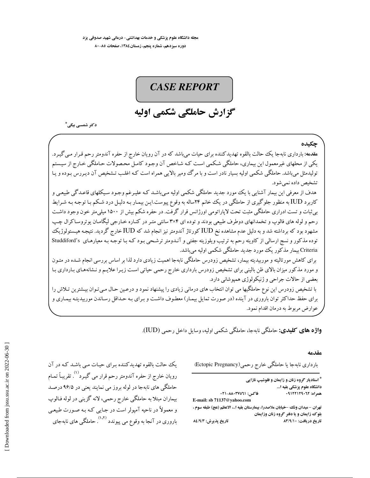مجله دانشگاه علوم پزشکی و خدمات بهداشتی- درمانی شهید صدوقی یزد

دوره سیزدهم، شماره پنجم، زمستان ۱۳۸٤، صفحات ۸۵-۸۰

**CASE REPORT** 

گزارش حاملگے شکمے اولیه

دکتر شمسے بیگے ؓ

حكىدە هقدهه: بارداری نابهجا یک حالت بالقوه تهدیدکننده برای حیات میباشد که در آن رویان خارج از حفره آندومتر رحم قـرار مـیگیـرد. یکی از محلهای غیرمعمول این بیماری، حاملگی شکمی است کـه شـاخص آن وجـود کامـل محـصولات حـاملگی خـارج از سیـستم تولیدمثل می باشد. حاملگی شکمی اولیه بسیار نادر است و با مرگ ومیر بالایی همراه است کـه اغلـب تـشخیص آن دیـررس بـوده و پـا تشخيص داده نمي شود.

هدف از معرفی این بیمار آشنایی با یک مورد جدید حاملگی شکمی اولیه می باشـد کـه علیـرغم وجـود سـیکلهای قاعـدگی طبیعـی و کاربرد IUD به منظور جلوگیری از حاملگی در یک خانم ۲۴ساله به وقوع پیوست.ایـن بیمـار بـه دلیـل درد شـکم بـا توجـه بـه شـرایط بی ثبات و تست ادراری حاملگی مثبت تحت لاپاراتومی اورژانس قرار گرفت. در حفره شکم بیش از ۱۵۰۰ میلی متر خون وجود داشت رحم و لوله هاي فالوپ و تخمدانهاي دوطرف طبيعي بودند و توده اي ۳×۳ سانتي متـر در كنـاره خـارجي ليگامـان يوتروسـاكرال چـپ مشهود بود که برداشته شد و به دلیل عدم مشاهده نخ IUD کورتاژ آندومتر نیز انجام شد که IUDخارج گردید. نتیجـه هیـستولوژیک توده مذکور و نسج ارسالی از کاویته رحم به ترتیب ویلوزیته جفتی و آنـدومتر ترشـحی بـود کـه بـا توجـه بـه معیارهـای Studdiford's Criteria بیمار مذکور یک مورد جدید حاملگی شکمی اولیه میںاشد.

برای کاهش مورتالیته و موربیدیته بیمار، تشخیص زودرس حاملگی نابهجا اهمیت زیادی دارد لذا بر اساس بررسی انجام شـده در متـون و مورد مذکور میزان بالای ظن بالینی برای تشخیص زودرس بارداری خارج رحمی حیاتی است زیـرا علایـم و نـشانههـای بـارداری بـا بعضي از حالات جراحي و ژنيكولوژي هميوشاني دارد.

با تشخیص زودرس این نوع حاملگیها می توان انتخاب های درمانی زیادی را پیشنهاد نمود و درعین حال مـی تـوان بیـشترین تـلاش را برای حفظ حداکثر توان باروری در آینده (در صورت تمایل بیمار) معطوف داشت و بـرای بـه حـداقل رسـاندن موربیدیتـه بیمـاری و عوارض مربوط به درمان اقدام نمود.

**واژه هاي كليدي:** حاملگي نابهجا، حاملگي شكمي اوليه، وسايل داخل رحمي (IUD).

مقدمه

بارداری نابهجا یا حاملگی خارج رحمی(Ectopic Pregnancy)

**" استادیار گروه زنان و زایمان و فلوشیپ نازایی** دانشگاه علوم پزشکی بقیه ا... فاكس: ٢١-٨٨٠٣٧٥٦١ همراه: ٩١٢٢١٢٩٠٦٢ E-mail: sb 71137@yahoo.com تهران – ميدان ونك –خيابان ملاصدرا، بيمارستان بقيه ا..، الاعظم (عج) طبقه سوم ، بلوک زایمان و یا دفتر گروه زنان وزایمان تاريخ پذيرش: ٨٤/٩/٣ تاریخ دریافت: ٨٣/٩/١٠

یک حالت بالقوه تهدیدکننده برای حیات مبی باشد که در آن رويان خارج از حفره آندومتر رحم قرار مي گيـرد<sup>(۱)</sup>. تقريبـاً تمـام حاملگی های نابهجا در لوله بروز می نمایند یعنی در ۹۶/۵ درصد بيماران مبتلا به حاملگي خارج رحمي، لانه گزيني در لوله فـالوپ و معمولاً در ناحیه آمپولر است در جـایی کـه بـه صـورت طبیعـی باروری در آنجا به وقوع می پیوندد <sup>(۱،۲)</sup>. حاملگی های نابهجای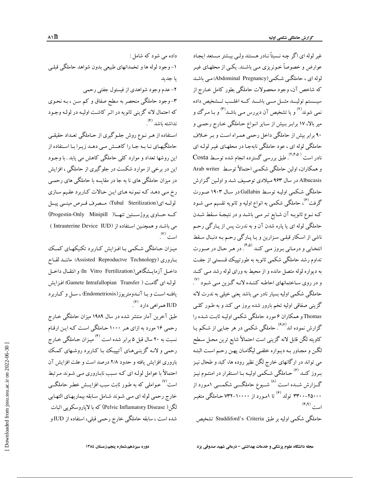غیر لوله ای اگر چـه نـسبتاً نـادر هـستند ولـی بیـشتر مـستعد ایجـاد عوارض و خصوصاً خـونریزی مـی باشـند. یکـی از محلهـای غیـر لوله ای ، حاملگی شکمی(Abdominal Pregnancy) می باشد که شاخص آن، وجود محصولات حاملگی بطور کامل خـارج از ۔<br>سیسستم تولیــد مثـــل مـــی باشــد کـــه اغلـــب تـــشخیص داده نمي شوند<sup>٬۲)</sup> و يا تشخيص آن ديررس مـي باشـد<sup>٬۳)</sup> و بـا مـرگ و میر بالا، ۱۷ برابـر بـیش از سـایر انـواع حـاملگی خـارج رحمـی و ۹۰ برابر بیش از حاملگی داخل رحمی همـراه اسـت و بـر خـلاف حاملگی لوله ای ، عود حاملگی نابهجـا در محلهـای غیـر لولـه ای نادر است <sup>( ۲،۴،۵</sup>)<br>نادر است <sup>( ۲،۴،۵</sup>). طبق بررسی گسترده انجام شده توسط Costa و همکاران، اولین حاملگی شکمبی احتمالاً توسط Arab writer Albucasis در سال ۹۶۳ میلادی توصیف شد و اولین گزارش حاملگی شکمی اولیـه توسـط Gallabin در سـال ۱۹۰۳ صـورت گرفت<sup>٬۶</sup>) حاملگی شکمی به انواع اولیه و ثانویه تقسیم مـی شـود کـه نـوع ثانویـه آن شـایع تـر مـی باشـد و در نتیجـهٔ سـقط شـدن حاملگی لوله ای یا پاره شدن آن و به ندرت پس از پـارگی رحـم ناشی از اسکار قبلبی سزارین و یـا پـارگی رحـم بـه دنبـال سـقط انتخـابي و درمـاني بـروز مـي كنـد (۴،۵) .<br>تداوم رشد حاملگی شکمی ثانویه به طورتیپیک قسمتی از جفت به دیواره لوله متصل مانده و از محیط به ورای لوله رشد مـی کنـد و در روی سـاختمانهای احاطـه کننـده لانـه گـزین مـی شـود <sup>(۷)</sup>. ۔<br>حاملگے شکمی اولیه بسیار نادر می باشد یعنی خیلی به ندرت لانه گزینی صفاقی اولیه تخم بارور شده بروز می کند و به طـور کلـی Thomas و همکاران ۶ مورد حاملگی شکمی اولیـه ثابـت شـده را گزارش نموده اند<sup>(۶،۷)</sup>. حاملگی شکمی در هر جـایی از شـکم یـا كاويته لگن قابل لانه گزيني است احتمالاً شايع ترين محـل سـطح لگـن و مجـاور بـه ديـواره خلفـي ليگامـان پهـن رحـم اسـت البتـه می تواند در ارگانهای خارج لگن نظیر روده ها، کبد و طحال نیـز بـروز کنـد <sup>(۶)</sup> حـاملگی شـکمی اولیـه بـا اسـتقرار در امنتـوم نیـز گــزارش شــده اسـت <sup>(۸)</sup> شــيوع حاملگــــی شکمــــی ۱مـورد از ۲۵۰۰۰–۳۳۰۰ تولد <sup>(۶)</sup> تا ۱مورد از ۱۰۰۰۰–۷۳۲ حـاملگی متغیـر  $(FA)$ است

حاملگے ٖ شکمی اولیه ہر طبق Studdiford's Criteria تشخیص

داده می شود که شامل : ۱– وجود لوله ها و تخمدانهای طبیعی بدون شواهد حاملگی قبلـی يا جديد ۲- عدم وجود شواهدي از فيستول جفتي رحمي ۳- وجود حاملگی منحصر به سطح صفاق و کم سـن ، بـه نحـوی که احتمال لانه گزینی ثانویه در اثـر کاشـت اولیـه در لولـه وجـود نداشته ىاشد (۴) استفاده از هـر نـوع روش جلـوگیری از حـاملگی تعـداد حقیقـی حاملگیهای نـا بـه جـا را كاهــش مـى دهـد زيـرا بـا اسـتفاده از

این روشها تعداد و موارد کلبی حاملگی کاهش می یابد . با وجـود این در برخی از موارد شکست در جلوگیری از حاملگی ، افزایش در میزان حاملگی های نا به جا در مقایسه با حاملگی های رحمـی رخ می دهد که نمونه های این حالات کاربرد عقیم سازی لولـه اي(Tubal Sterilization) مــصرف قــرص مينــي پيــل که حساوی پروژستین تنها( Progestin-Only Minipill) می باشد و همچنین استفاده از (Intrauterine Device IUD ) است <sup>(۷)</sup>.

میزان حاملگی شکمی با افزایش کاربرد تکنیکهای کمک بـاروري (Assisted Reproductve Technology) ماننــد لقـاح داخـل آزمایــشگاهی(In Vitro Fertilization) و انتقــال داخــل لولـه اي گامـت ( Gamete Intrafallopian Transfer) افـزايش یافتـه اسـت و بـا آنــدومتر یوز(Endometriosis) ، سـل و کــاربرد ...<br>IUD همراهي دارد ``.

طبق آخرین آمار منتشر شده در سال ۱۹۸۹ میزان حاملگی خـارج رحمی ۱۶ مورد به ازای هر ۱۰۰۰ حـاملگی اسـت کـه ایـن ارقـام نسبت به ۲۰ سال قبل ۵ برابر شده است <sup>(۴)</sup> میـزان حـاملگی خـارج رحمي و لانـه گزينـي هـاي آتيپيـك بـا كـاربرد روشـهاي كـمـك باروري افزايش يافته و حدود ٢/٨ درصد است و علت افزايش آن احتمالاً با عوامل لولـه ای کـه سـبب نابـاروری مـبي شـوند مـرتبط است<sup>۷۷</sup> عـواملی که به طـور ثابت سبب افزایـــش خطـر حاملگـــی خارج رحمي لوله اي ميي شوند شـامل سـابقه بيماريهـاي التهـابي لگن( Pelvic Inflamatory Disease) که با لاپاروسکوپی اثبات شده است ، سابقه حاملگی خارج رحمی قبلی، استفاده از IUD و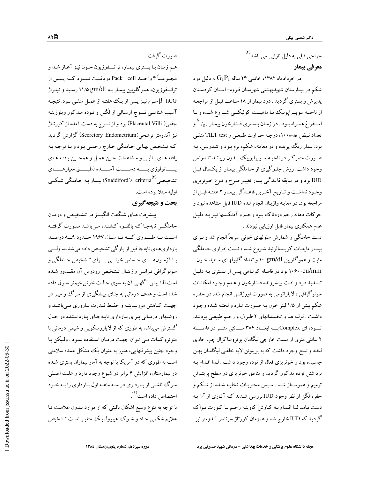جراحی قبلی به دلیل نازایی می باشد<sup>(۴)</sup>. معرفي بيمار

در خردادماه ۱۳۸۲، خانمی ۲۴ ساله  $\mathrm{G_1P_1}$ به دلیل درد شکم در بیمارستان شهیدبهشتی شهرستان قـروه-اسـتان کردسـتان یذیرش و بستری گردید . درد بیمار از ۱۸ ساعت قبـل از مراجعـه از ناحیـه سوپــراپوبیک باا ماهیــت کولیکــی شــروع شـده و بـا استفراغ همـراه بـود . در زمـان بـسـتري فـشارخون بيمـار ۵۰٪ و تعداد نبض ۱۰۰٬<sub>min</sub> درجه حرارت طبیعی و TILT test منفی بود. بیمار رنگ پریده و در معاینه، شکم، نرم بـود و تنـدرنس، بـه صورت متمركز در ناحيـه سـوپراپوييك بـدون ريبانـد تنـدرنس وجود داشت. روش جلـوگیری از حـاملگی بیمـار از یکـسال قبـل IUD بود و در سابقه قاعدگی بیمار تغییر طرح و نـوع خـونریزی وجـود نداشـت و تـاريخ آخـرين قاعـدگي بيمـار ٢ هفتـه قبـل از مراجعه بود. در معاینه واژینال انجام شده IUD قابل مشاهده نبود و حرکات دهانه رحم دردناک بود رحم و آدنکسها نیز به دلیل عدم همکاری بیمار قابل ارزیابی نبودند .

تست حاملگی و شمارش سلولهای خونی سریعاً انجام شد و بـرای بیمـار مایعـات کریـستالوئید شـروع شـد ، تـست ادراری حـاملگی مثبت و هموگلوبین gm/dl ۱۰ و تعداد گلبولهـای سـفید خـون ۱۰۶۰۰cu/mm بود در فاصله کوتاهی پـس از بـستری بـه دليـل تشديد درد و افت پيشرونده فشارخون و عـدم وجـود امكانـات سونوگرافی ، لایاراتومی به صورت اورژانس انجام شد. در حفـره شکم بیش از ۱/۵ لیتر خون بـه صـورت تـازه و لختـه شـده وجـود داشت . لولـه هـا و تخمـدانهاي ٢ طرف و رحـم طبيعـي بودنـد. تسوده ای Complexبه ابعساد ۳×۴ سـانتی متسر در فاصــله ۲ سانتی متری از سمت خارجی لیگامان یوتروساکرال چپ حاوی لخته و نسج وجود داشت که به پریتوئن لایه خلفـی لیگامـان پهـن چسبیده بود و خونریزی فعال از توده وجود داشت . لـذا اقـدام بـه برداشتن توده مذکور گردید و مناطق خونریزی در سطح پریتـوئن ترمیم و هموسـتاز شـد . سـپس محتویـات تخلیـه شـده از شـکم و حفره لگن از نظر وجود IUDبررسی شـدند کـه آثـاری از آن بـه دست نیامد لذا اقـدام بـه کـاوش کاویتـه رحـم بـا کـورت نـواک گردید که IUDخارج شد و همزمان کورتاژ سرتاسر آندومتر نیز

صورت گرفت .

هم زمان بـا بـستري بيمـار، ترانـسفوزيون خـون نيـز آغـاز شـد و مجموعــاً ۴ واحــد Pack cell دريافــت نمــود كــه يــس از ترانسفوزیون، هموگلوبین بیمـار بـه gm/dl (۱۱/۵ رسـید و تیتـراژ سرم نیـز پــس از یـک هفتـه از عمـل منفـی بـود. نتیجـه  $\beta$   $\rm hCG$ آسیب شناسـی نـسوج ارسـالـی از لگـن و تـوده مـذکور ویلوزیتـه جفتی( Placental Villi)بود و از نسوج به دست آمده از کورتـاژ نیز آندومتر ترشحی(Secretory Endometrium) گزارش گردید کـه تـشخيص نهـايي حـاملگي خـارج رحمـي بـود و بـا توجـه بـه يافته هـاي بـاليني و مـشاهدات حـين عمـل و همچنـين يافتـه هـاي پـــاتولوژي بــــه دســــت آمـــــده (طبــــق معيارهـــــاي تشخيصي<sup>(۴)</sup> Studdiford's criteria) بيمـار بـه حـاملگي شـكمي اوليه مبتلا بوده است. بحث و نتیجه گیری

پیشرفت هـاي شـگفت انگيـــز در تـشخيـص و درمـان حاملگــی نابهجـا کـه بالقــوه کـشنـده مـیباشـد صـورت گرفتــه است به طوری که تا سال ۱۹۶۷ حدود ۹ـــ۸ درصد بارداریهای نابهجا قبل از پارگی تشخیص داده میشدنـد ولـــی بـا آزمـونهـــاي حـساس خونــي بـــراي تــشخيص حـاملگي و سونوگرافی تـرانس واژينـال تـشخيص زودرس آن مقــدور شـده است لذا پیش آگهـی آن به سوی حالـت خوشڅيم تر سـوق داده شده است و هدف درمانی به جـای پیـشگیری از مـرگـُ و میـر در جهت كـاهش موربيديتـه و حفـظ قـدرت بـاروري مـىباشـد و روشهای درمانی برای بارداری نابهجای پاره نشده در حال گسترش میباشد به طوری که از لاپاروسکوپی و شیمی درمانی با متوتروکسات مبي تـوان جهـت درمـان اسـتفاده نمـود . ولـيکن بـا وجود چنین پیشرفتهایی، هنوز به عنوان یک مشکل عمده سلامتی است به طوری که در آمریکا با توجه به آمار بیماران بستری شـده در بیمارستان، افزایش ۴ برابر در شیوع وجود دارد و علت اصلبی مرگ ناشمی از بارداری در سه ماهـه اول بـارداری را بـه خـود اختصاص داده است<sup>(۱)</sup>.

با توجه به تنوع وسیع اشکال بالینی که از موارد بـدون علامـت تـا علايم شكمي حـاد و شـوك هيپوولميـك متغيـر اسـت تـشخيص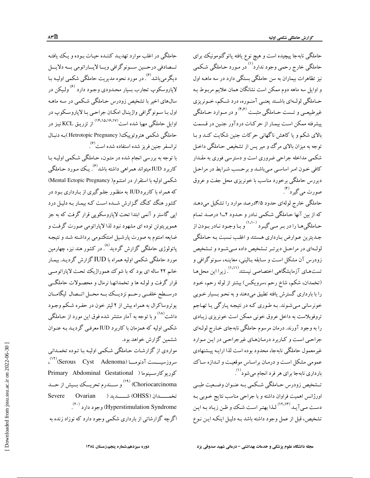حاملگی نابهجا پیچیده است و هیچ نوع یافته پاتوگنومونیک برای حاملگي خارج رحمي وجود ندارد<sup>(۱)</sup> در مـورد حـاملگي شـكمي نیز تظاهرات بیماران به سن حاملگی بستگی دارد در سه ماهــه اول و اوایل سه ماهه دوم ممکن است نشانگان همان علایم مربـوط بـه حــاملگی لولــهای باشــند یعنــی آمنــوره، درد شــکم، خــونریزی غیرطبیعــی و تــست حــاملگی مثبــت <sup>(۴،۶)</sup> و در مــوارد حــاملگی پیشرفته ممکن است بیمار از حرکات دردآور جنین در قسمت .<br>بالای شکم و یا کاهش ناگهانی حرکات جنین شکایت کنـد و بـا توجه به میزان بالای مرگ و میر پس از تشخیص حـاملگی داخـل .<br>شکعبی مداخله جراحی ضروری است و دسترسی فوری به مقیدار ۔<br>کافی خـون امـر اساسـی مـی،باشـد و برحـسب شـرايط در مراحـل دیررس حاملگی برخورد مناسب با خونریزی محل جفت و عروق صورت مي گير د ".

۔<br>حاملگی خارج لولهای حدود ۳/۵درصد موارد را تشکیل می دهـد که از بین آنها حـاملگی شـکمی نـادر و حـدود ۲ــ۱ درصـد تمـام حـاملگیهـا را در بـر مـی گیـرد <sup>(۱،۱۰)</sup> و بـا وجـود نـادر بـودن از جـدیترین عـوارض بـارداری هـستند و اغلـب نـسبت بـه حـاملگی لولهای در مراحـل دیرتـر تـشخیص داده مـیشـود و تـشخیص زودرس آن مشکل است و سـابقه بـالینی، معاینــه، سـونوگرافی و ۔<br>تستہمای آزمایشگاهی اختصاصی نیستند'''. زیرا این محل هـا (تخمدان، شکم، شاخ رحم ،سرویکس) بیشتر از لوله رحم، خـود را با بارداری گسترش یافته تطبیق میدهند و به نحـو بـسیار خـوبی خونرساني مي شـوند. بـه طـوري کـه در نتيجـه پـارگي پـا تهـاجم تروفوبلاست به داخل عروق خونبي ممكن است خونريزي زيـادي را به وجود آورند. درمان مرسوم حاملگی نابهجای خـارج لولـهای جراحي است و كـاربرد درمـانهـاي غير جراحـي در ايـن مـوارد غیر معمول حاملگی نابهجا، محدود بوده است لذا ارایـه پیـشنهادی عمومی مشکل است و درمان براساس موقعیت و انـدازه سـاک بارداري نابهجا براي هر فرد انجام مي شود ``.

تـشخيص زودرس حـاملگي شـكمي بـه عنـوان وضـعيت طبـي اورژانس اهمیت فراوان داشته و با جراحی مناسب نتایج خـوبی بـه دست می آیـد <sup>(۱۲،۱۳)</sup> لـذا بهتـر اسـت شـك و ظـن زيـاد بـه ايـن ۔<br>تشخیص، قبل از عمل وجود داشته باشد بـه دلیـل اینکـه ایـن نـوع

حاملگی در اغلب موارد تهدیـد کننـده حیـات بـوده و یـک یافتـه تـمادفي درحـين سـونوگرافي ويـا لايـاراتومي بـه دلايـل دیگرمی باشد <sup>(۶)</sup>. در مورد نحوه مدیریت حاملگی شکمی اولیـه بـا لاياروسكوپ تجارب بسيار محـدودي وجـود دارد <sup>(۶)</sup> ولـيكن در سال@ای اخبر با تشخیص زودرس حـاملگی شـکمی در سـه ماهـه اول بـا سـونوگرافي واژينـال امكـان جراحـي بـا لاياروسـكوپ در اوایل حاملگی مهیا شده است<sup>(۱۴،۱۵،۱۶،۱۷)</sup> از تزریـق KCL نیـز در حاملگي شکمي هتروتوييک( Hetrotopic Pregnancy )بـه دنبـال ترانسفر جنين فريز شده استفاده شده است<sup>(۶)</sup>.

با توجه به بررسی انجام شده در متـون، حـاملگی شـکمی اولیـه بـا کاربرد IUD،میتواند همراهی داشته باشد<sup>(۶)</sup>. یـک ممورد حـاملگی شکمی اولیه با استقرار در امنتوم( Mental Ectopic Pregnancy) که همراه با کاربردIUD به منظور جلـوگیری از بـارداری بـود در کشور هنگ کنگ گزارش شــده است کـه بیمـار بـه دلیـل درد اپی گاستر و آنمی ابتدا تحت لاپاروسکوپی قرار گرفت که به جز هموپریتوئن توده ای مشهود نبود لذا لاپاراتومی صورت گرفت و ضایعه امنتوم به صورت پارشـیل امنتکتـومی برداشـته شـد و نتیجـه پاتولوژی حاملگی گزارش گردید<sup>۹۸</sup>. در کشور هند نیز، چهارمین مورد حاملگی شکمی اولیه همراه با IUD گزارش گردیـد. بیمـار خانم ۲۲ ساله ای بود که با شوک هموراژیک تحت لایاراتومــی قرار گرفت و لولـه ها و تخمدانهـا نرمال و محصـولات حاملگـــی درســطح خلفــي رحــم نزديــك بــه محــل اتــصال ليگامــان یوتروساکرال به همراه بیش از ۲ لیتر خون در حفـره شـکم وجـود داشت<sup>۱۸)</sup> و با توجه به آمار منتشر شده فوق این مورد از حـاملگی شکمی اولیه که همزمان با کاربرد IUD معرفی گردیـد بـه عنـوان ششمین گزارش خواهد بود.

مواردی از گزارشات حـاملگی شـکمی اولیـه بـا تـوده تخمـدانی سروزسیــــست آدنومــــا (Serous Cyst Adenoma)ا```، كوريوكارسينوما ( Primary Abdominal Gestational Choriocarcinoma) <sup>(۱۹)</sup> و ســندرم تحریـــک ببــیش از حـــد Severe (۲۰ (Hyperstimulation Syndrome) وجود دارد (۲۰ اگرچه گزارشاتی از بارداری شکمی وجود دارد که نوزاد زنده به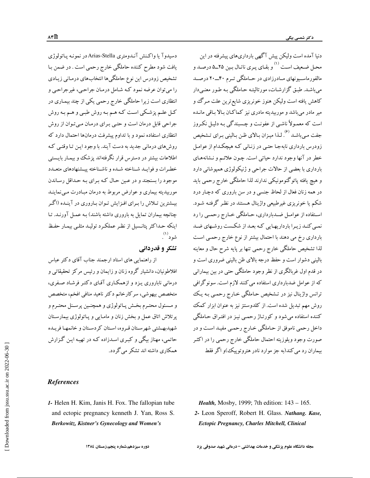دنبا آمده است ولیکن پیش آگهی بارداریهای پیشرفته در این محـل ضـعيف اسـت <sup>(۱)</sup> و بقـاي پـري ناتـال بـين ۲۵ــ۵ درصـد و مالفورماسیونهای مادرزادی در حـاملگی تـرم ۴۰ـــــــ ۲۰ درصــد می باشـد. طبـق گزارشـات، مورتالیتـه حـاملگـی بـه طـور معنـیدار کاهش یافته است ولیکن هنوز خونریزی شایع ترین علت مـرگ و .<br>میر مادر می باشد و موربیدیته مادری نیز کماکـان بـالا بـاقبی مانــده است که معمـولاً ناشـي از عفونـت و چـسبندگي بـه دليـل نکـروز جفت می باشد <sup>(۶)</sup>. لـذا میـزان بـالای ظـن بـالینی بـرای تـشخیص زودرس بارداری نابهجا حتبی در زنـانی کـه هیچکـدام از عوامـل خطر در آنها وجود ندارد حیاتی است. چـون علائـم و نـشانههـای بارداری با بعضی از حالات جراحی و ژنیکولوژی همپوشانی دارد و هیچ یافته پاتوگنومونیکی ندارند لذا حاملگی خارج رحمی باید در همه زنان فعال از لحاظ جنسی و در سن باروری که دچار درد شکم یا خونریزی غیرطبیعی واژینال هستند در نظر گرفتـه شـود. استفاده از عوامـل ضـدبارداري، حـاملگي خـارج رحمـي را رد نمبی کنـد زيـرا بارداريهـايي كـه بعـد از شكـست روشـهاي ضـد بارداری رخ می دهند با احتمال بیشتر از نوع خارج رحمـی اسـت لذا تشخیص حاملگی خارج رحمی تنها بر پایه شرح حال و معاینه بالینی دشوار است و حفظ درجه بالای ظن بالینی ضروری است و در قدم اول غربالگری از نظر وجود حاملگی حتی در بین بیمارانی که از عوامل ضدبارداری استفاده می کنند لازم است. سونوگرافی ترانس واژینال نیز در تـشخیص حـاملگی خـارج رحمـی بـه یـک روش مهم تبدیل شده است. از کلدوسنتز نیز به عنوان ابزار کمک کننده استفاده میشود و کورتـاژ رحمـی نیـز در افتـراق حـاملگـی داخل رحمی ناموفق از حـاملگی خـارج رحمـی مفیـد اسـت و در صورت وجود ويلوزيته احتمال حاملگي خارج رحمي را در اكثـر سماران رد می کند(په جز موارد نادر هترو توپیک)و اگر فقط

دسيدوآ يا واكـنش آنـدومتري Arias-Stella در نمونـه پـاتولوژي یافت شود مطرح کننده حاملگی خارج رحمی است . در ضمن بـا تشخیص زودرس این نوع حاملگیها انتخابهای درمانی زیادی را مي توان عرضه نمود كـه شـامل درمـان جراحـي، غيرجراحـي و انتظاری است زیرا حاملگی خارج رحمی یکی از چند بیمـاری در کــل علــم پزشــکي اســت کــه هــم بــه روش طبــي و هــم بــه روش جراحي قابل درمان است و حتبي بـراي درمـان مـي تـوان از روش انتظاری استفاده نمود و با تداوم پیشرفت درمانها احتمال دارد که روشهای درمانی جدید به دست آیند. با وجود ایـن تـا وقتـی کـه اطلاعات بیشتر در دسترس قرار نگرفتهاند یزشک و بیمـار بایـستـی خطه ات و فوايــد شــناخته شــده و ناشــناخته پيــشنهادهاي متعــدد موجود را بسنجند و در عین حال کـه بـرای بـه حـداقل رسـاندن موربیدیته بیماری و عوارض مربوط به درمان مبادرت میینماینـد بیـشترین تـلاش را بـرای افـزایش تـوان بـاروری در آینـده (اگـر چنانچه بیماران تمایل به باروری داشته باشند) بـه عمـل آورنـد. تـا اینکه حداکثر پتانـسیل از نظـر عملکـرد تولیـد مثلـی بیمـار حفـظ شو د (۱)<br>شو **د** 

## تشکر و قدردانی

از راهنمایی های استاد ارجمند جناب آقای دکتر عباس افلاطونیان، دانشیار گروه زنان و زایمان و رئیس مرکز تحقیقاتی و درمانی ناباروری پـزد و ازهمکـاری آقـای دکتـر فرشـاد صـفری، متخصص بیهوشی، سرکارخانم دکتر ناهید منافی افخم، متخصص و مسئول محتـرم بخـش پـاتولوژي و همچنـين پرسـنل محتـرم و پرتلاش اتاق عمل و بخش زنان و مامـایی و پـاتولوژی بیمارسـتان شهیدبهشتی شهرستان قروه، استان کردستان و خانمها فریـده حاتمی، مهناز سگی و کسری اسـدزاده کـه در تهـبه اسن گـزارش همکاری داشته اند تشکر مرگر دد.

## **References**

1- Helen H. Kim, Janis H. Fox. The fallopian tube and ectopic pregnancy kenneth J. Yan, Ross S. Berkowitz, Kistner's Gynecology and Women's

Health, Mosby, 1999; 7th edition: 143 - 165. 2- Leon Speroff, Robert H. Glass. Nathang. Kase, Ectopic Pregnancy, Charles Mitchell, Clinical

مجله دانشگاه علوم یزشکی و خدمات بهداشتی - درمانی شهید صدوقی یزد